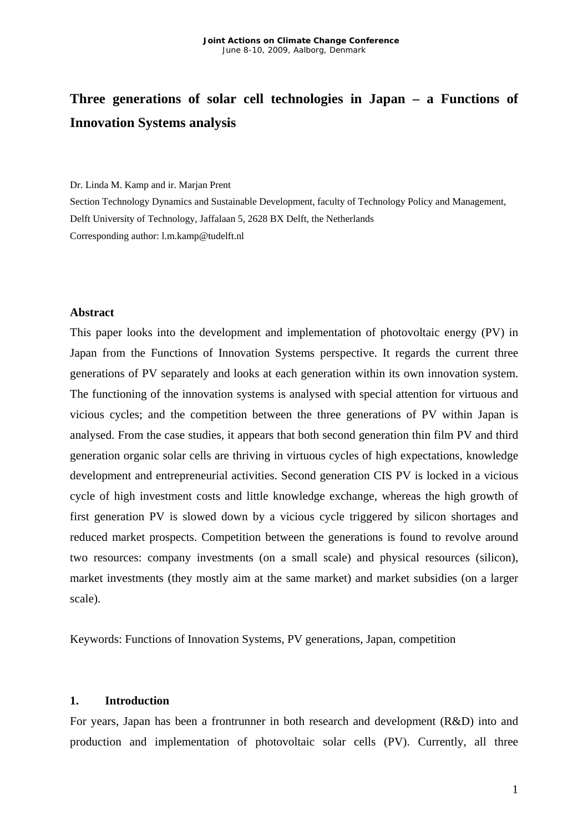# **Three generations of solar cell technologies in Japan – a Functions of Innovation Systems analysis**

#### Dr. Linda M. Kamp and ir. Marjan Prent

Section Technology Dynamics and Sustainable Development, faculty of Technology Policy and Management, Delft University of Technology, Jaffalaan 5, 2628 BX Delft, the Netherlands Corresponding author: l.m.kamp@tudelft.nl

#### **Abstract**

This paper looks into the development and implementation of photovoltaic energy (PV) in Japan from the Functions of Innovation Systems perspective. It regards the current three generations of PV separately and looks at each generation within its own innovation system. The functioning of the innovation systems is analysed with special attention for virtuous and vicious cycles; and the competition between the three generations of PV within Japan is analysed. From the case studies, it appears that both second generation thin film PV and third generation organic solar cells are thriving in virtuous cycles of high expectations, knowledge development and entrepreneurial activities. Second generation CIS PV is locked in a vicious cycle of high investment costs and little knowledge exchange, whereas the high growth of first generation PV is slowed down by a vicious cycle triggered by silicon shortages and reduced market prospects. Competition between the generations is found to revolve around two resources: company investments (on a small scale) and physical resources (silicon), market investments (they mostly aim at the same market) and market subsidies (on a larger scale).

Keywords: Functions of Innovation Systems, PV generations, Japan, competition

#### **1. Introduction**

For years, Japan has been a frontrunner in both research and development (R&D) into and production and implementation of photovoltaic solar cells (PV). Currently, all three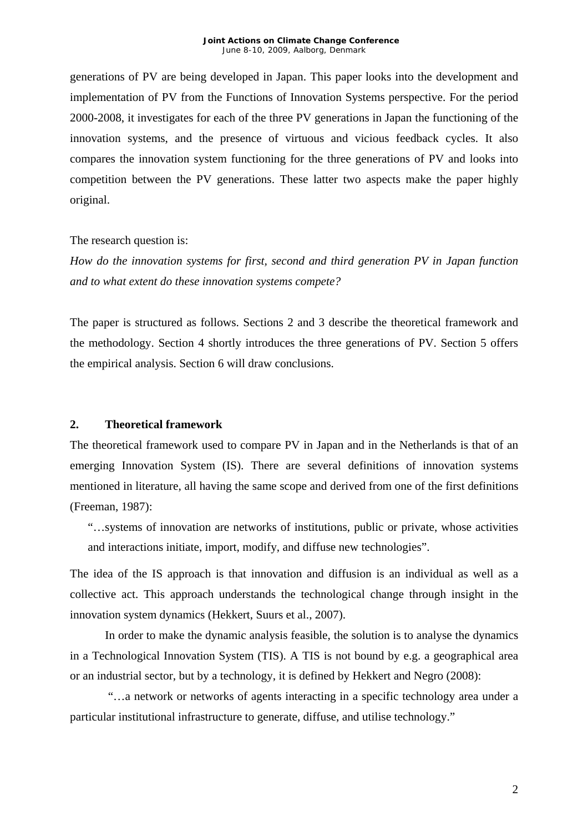generations of PV are being developed in Japan. This paper looks into the development and implementation of PV from the Functions of Innovation Systems perspective. For the period 2000-2008, it investigates for each of the three PV generations in Japan the functioning of the innovation systems, and the presence of virtuous and vicious feedback cycles. It also compares the innovation system functioning for the three generations of PV and looks into competition between the PV generations. These latter two aspects make the paper highly original.

The research question is:

*How do the innovation systems for first, second and third generation PV in Japan function and to what extent do these innovation systems compete?* 

The paper is structured as follows. Sections 2 and 3 describe the theoretical framework and the methodology. Section 4 shortly introduces the three generations of PV. Section 5 offers the empirical analysis. Section 6 will draw conclusions.

### **2. Theoretical framework**

The theoretical framework used to compare PV in Japan and in the Netherlands is that of an emerging Innovation System (IS). There are several definitions of innovation systems mentioned in literature, all having the same scope and derived from one of the first definitions (Freeman, 1987):

"…systems of innovation are networks of institutions, public or private, whose activities and interactions initiate, import, modify, and diffuse new technologies".

The idea of the IS approach is that innovation and diffusion is an individual as well as a collective act. This approach understands the technological change through insight in the innovation system dynamics (Hekkert, Suurs et al., 2007).

In order to make the dynamic analysis feasible, the solution is to analyse the dynamics in a Technological Innovation System (TIS). A TIS is not bound by e.g. a geographical area or an industrial sector, but by a technology, it is defined by Hekkert and Negro (2008):

"…a network or networks of agents interacting in a specific technology area under a particular institutional infrastructure to generate, diffuse, and utilise technology."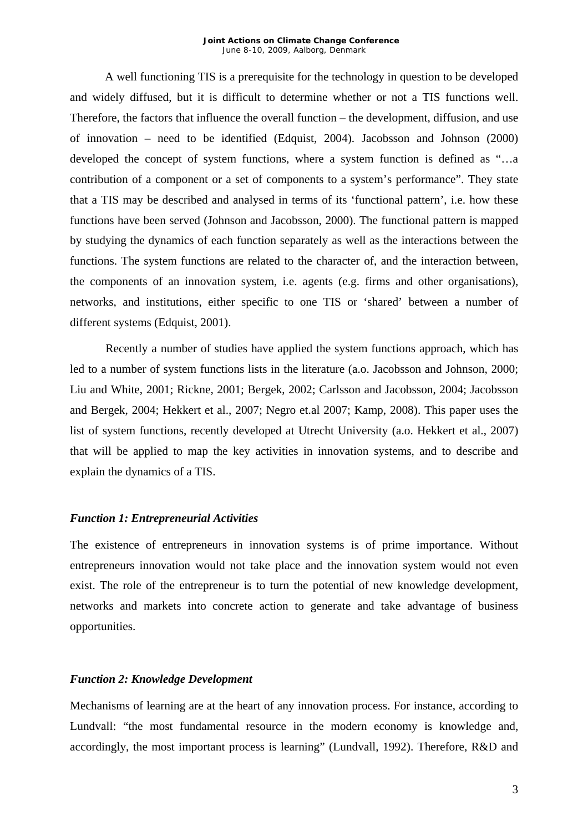#### *Joint Actions on Climate Change Conference*  June 8-10, 2009, Aalborg, Denmark

A well functioning TIS is a prerequisite for the technology in question to be developed and widely diffused, but it is difficult to determine whether or not a TIS functions well. Therefore, the factors that influence the overall function – the development, diffusion, and use of innovation – need to be identified (Edquist, 2004). Jacobsson and Johnson (2000) developed the concept of system functions, where a system function is defined as "…a contribution of a component or a set of components to a system's performance". They state that a TIS may be described and analysed in terms of its 'functional pattern', i.e. how these functions have been served (Johnson and Jacobsson, 2000). The functional pattern is mapped by studying the dynamics of each function separately as well as the interactions between the functions. The system functions are related to the character of, and the interaction between, the components of an innovation system, i.e. agents (e.g. firms and other organisations), networks, and institutions, either specific to one TIS or 'shared' between a number of different systems (Edquist, 2001).

Recently a number of studies have applied the system functions approach, which has led to a number of system functions lists in the literature (a.o. Jacobsson and Johnson, 2000; Liu and White, 2001; Rickne, 2001; Bergek, 2002; Carlsson and Jacobsson, 2004; Jacobsson and Bergek, 2004; Hekkert et al., 2007; Negro et.al 2007; Kamp, 2008). This paper uses the list of system functions, recently developed at Utrecht University (a.o. Hekkert et al., 2007) that will be applied to map the key activities in innovation systems, and to describe and explain the dynamics of a TIS.

#### *Function 1: Entrepreneurial Activities*

The existence of entrepreneurs in innovation systems is of prime importance. Without entrepreneurs innovation would not take place and the innovation system would not even exist. The role of the entrepreneur is to turn the potential of new knowledge development, networks and markets into concrete action to generate and take advantage of business opportunities.

#### *Function 2: Knowledge Development*

Mechanisms of learning are at the heart of any innovation process. For instance, according to Lundvall: "the most fundamental resource in the modern economy is knowledge and, accordingly, the most important process is learning" (Lundvall, 1992). Therefore, R&D and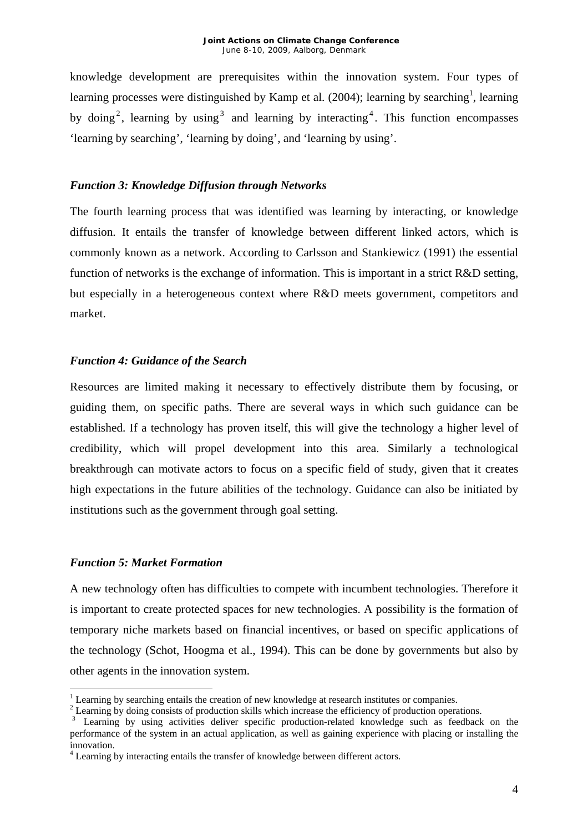knowledge development are prerequisites within the innovation system. Four types of learning processes were distinguished by Kamp et al. (2004); learning by searching<sup>[1](#page-3-0)</sup>, learning by doing<sup>2</sup>[,](#page-3-1) learningby using<sup>3</sup> and learning by interacting<sup>4</sup>[.](#page-3-3) This function encompasses 'learning by searching', 'learning by doing', and 'learning by using'.

## *Function 3: Knowledge Diffusion through Networks*

The fourth learning process that was identified was learning by interacting, or knowledge diffusion. It entails the transfer of knowledge between different linked actors, which is commonly known as a network. According to Carlsson and Stankiewicz (1991) the essential function of networks is the exchange of information. This is important in a strict R&D setting, but especially in a heterogeneous context where R&D meets government, competitors and market.

## *Function 4: Guidance of the Search*

Resources are limited making it necessary to effectively distribute them by focusing, or guiding them, on specific paths. There are several ways in which such guidance can be established. If a technology has proven itself, this will give the technology a higher level of credibility, which will propel development into this area. Similarly a technological breakthrough can motivate actors to focus on a specific field of study, given that it creates high expectations in the future abilities of the technology. Guidance can also be initiated by institutions such as the government through goal setting.

## *Function 5: Market Formation*

1

A new technology often has difficulties to compete with incumbent technologies. Therefore it is important to create protected spaces for new technologies. A possibility is the formation of temporary niche markets based on financial incentives, or based on specific applications of the technology (Schot, Hoogma et al., 1994). This can be done by governments but also by other agents in the innovation system.

<span id="page-3-0"></span><sup>&</sup>lt;sup>1</sup> Learning by searching entails the creation of new knowledge at research institutes or companies.<br><sup>2</sup> Learning by doing consists of production skills which increase the efficiency of production operation

<span id="page-3-1"></span><sup>&</sup>lt;sup>2</sup> Learning by doing consists of production skills which increase the efficiency of production operations.<br><sup>3</sup> Learning by using activities deliver specific production-related knowledge such as feedback on the

<span id="page-3-2"></span>performance of the system in an actual application, as well as gaining experience with placing or installing the innovation. <sup>4</sup>

<span id="page-3-3"></span> $4$  Learning by interacting entails the transfer of knowledge between different actors.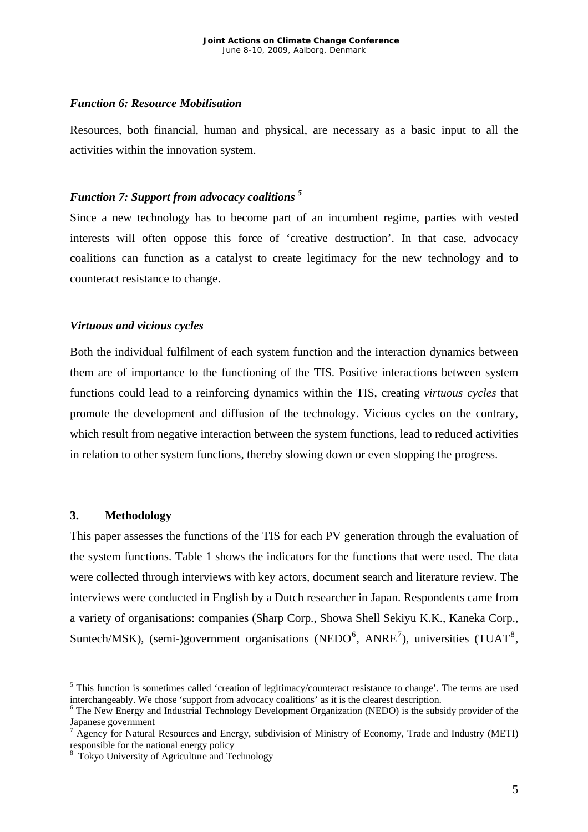### *Function 6: Resource Mobilisation*

Resources, both financial, human and physical, are necessary as a basic input to all the activities within the innovation system.

#### *Function 7: Support from advocacy coalitions [5](#page-4-0)*

Since a new technology has to become part of an incumbent regime, parties with vested interests will often oppose this force of 'creative destruction'. In that case, advocacy coalitions can function as a catalyst to create legitimacy for the new technology and to counteract resistance to change.

### *Virtuous and vicious cycles*

Both the individual fulfilment of each system function and the interaction dynamics between them are of importance to the functioning of the TIS. Positive interactions between system functions could lead to a reinforcing dynamics within the TIS, creating *virtuous cycles* that promote the development and diffusion of the technology. Vicious cycles on the contrary, which result from negative interaction between the system functions, lead to reduced activities in relation to other system functions, thereby slowing down or even stopping the progress.

#### **3. Methodology**

1

This paper assesses the functions of the TIS for each PV generation through the evaluation of the system functions. Table 1 shows the indicators for the functions that were used. The data were collected through interviews with key actors, document search and literature review. The interviews were conducted in English by a Dutch researcher in Japan. Respondents came from a variety of organisations: companies (Sharp Corp., Showa Shell Sekiyu K.K., Kaneka Corp., Suntech/MSK), (semi-)government organisations (NEDO $^6$  $^6$ , ANRE<sup>[7](#page-4-2)</sup>), universities (TUAT<sup>[8](#page-4-3)</sup>,

<span id="page-4-0"></span><sup>&</sup>lt;sup>5</sup> This function is sometimes called 'creation of legitimacy/counteract resistance to change'. The terms are used interchangeably. We chose 'support from advocacy coalitions' as it is the clearest description. 6

<span id="page-4-1"></span> $6$  The New Energy and Industrial Technology Development Organization (NEDO) is the subsidy provider of the Japanese government

<span id="page-4-2"></span> $A$ gency for Natural Resources and Energy, subdivision of Ministry of Economy, Trade and Industry (METI) responsible for the national energy policy 8

<span id="page-4-3"></span>Tokyo University of Agriculture and Technology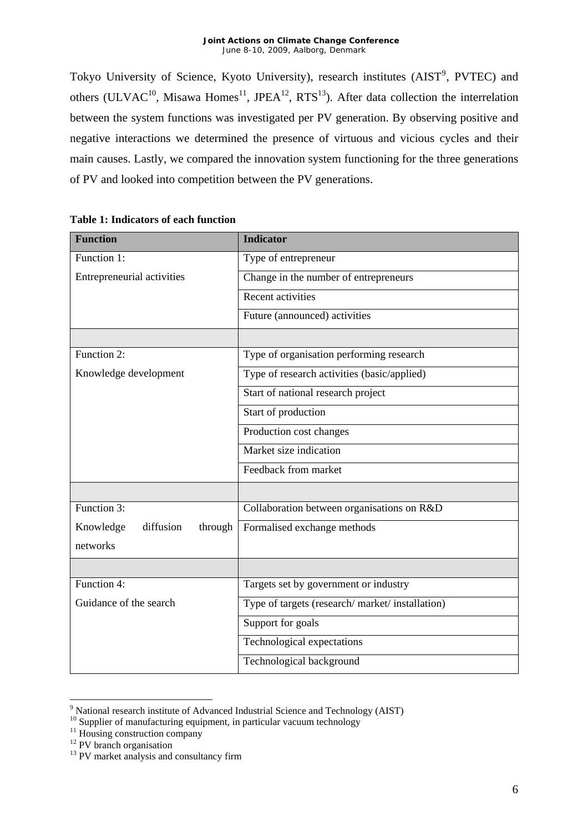#### *Joint Actions on Climate Change Conference*  June 8-10, 2009, Aalborg, Denmark

Tokyo University of Science, Kyoto University), research institutes (AIST<sup>[9](#page-5-0)</sup>, PVTEC) and others (ULVAC<sup>10</sup>, Misawa Homes<sup>11</sup>, JPEA<sup>12</sup>, RTS<sup>13</sup>). After data collection the interrelation between the system functions was investigated per PV generation. By observing positive and negative interactions we determined the presence of virtuous and vicious cycles and their main causes. Lastly, we compared the innovation system functioning for the three generations of PV and looked into competition between the PV generations.

| <b>Function</b>                   | <b>Indicator</b>                               |
|-----------------------------------|------------------------------------------------|
| Function 1:                       | Type of entrepreneur                           |
| Entrepreneurial activities        | Change in the number of entrepreneurs          |
|                                   | Recent activities                              |
|                                   | Future (announced) activities                  |
|                                   |                                                |
| Function $2$ :                    | Type of organisation performing research       |
| Knowledge development             | Type of research activities (basic/applied)    |
|                                   | Start of national research project             |
|                                   | Start of production                            |
|                                   | Production cost changes                        |
|                                   | Market size indication                         |
|                                   | Feedback from market                           |
|                                   |                                                |
| Function 3:                       | Collaboration between organisations on R&D     |
| diffusion<br>Knowledge<br>through | Formalised exchange methods                    |
| networks                          |                                                |
|                                   |                                                |
| Function 4:                       | Targets set by government or industry          |
| Guidance of the search            | Type of targets (research/market/installation) |
|                                   | Support for goals                              |
|                                   | Technological expectations                     |
|                                   | Technological background                       |

#### **Table 1: Indicators of each function**

<sup>–&</sup>lt;br>9

<span id="page-5-1"></span><span id="page-5-0"></span><sup>&</sup>lt;sup>10</sup><br>
Supplier of manufacturing equipment, in particular vacuum technology<br>
<sup>11</sup><br>
PV branch organisation<br>
<sup>13</sup> PV market analysis and consultancy firm

<span id="page-5-2"></span>

<span id="page-5-3"></span>

<span id="page-5-4"></span>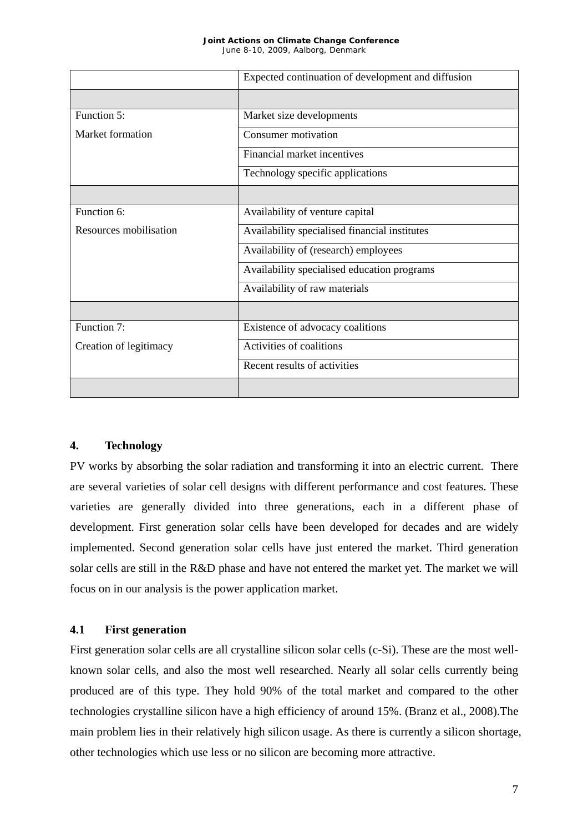#### *Joint Actions on Climate Change Conference*  June 8-10, 2009, Aalborg, Denmark

|                        | Expected continuation of development and diffusion |
|------------------------|----------------------------------------------------|
|                        |                                                    |
| Function 5:            | Market size developments                           |
| Market formation       | Consumer motivation                                |
|                        | Financial market incentives                        |
|                        | Technology specific applications                   |
|                        |                                                    |
| Function 6:            | Availability of venture capital                    |
| Resources mobilisation | Availability specialised financial institutes      |
|                        | Availability of (research) employees               |
|                        | Availability specialised education programs        |
|                        | Availability of raw materials                      |
|                        |                                                    |
| Function 7:            | Existence of advocacy coalitions                   |
| Creation of legitimacy | Activities of coalitions                           |
|                        | Recent results of activities                       |
|                        |                                                    |

## **4. Technology**

PV works by absorbing the solar radiation and transforming it into an electric current. There are several varieties of solar cell designs with different performance and cost features. These varieties are generally divided into three generations, each in a different phase of development. First generation solar cells have been developed for decades and are widely implemented. Second generation solar cells have just entered the market. Third generation solar cells are still in the R&D phase and have not entered the market yet. The market we will focus on in our analysis is the power application market.

## **4.1 First generation**

First generation solar cells are all crystalline silicon solar cells (c-Si). These are the most wellknown solar cells, and also the most well researched. Nearly all solar cells currently being produced are of this type. They hold 90% of the total market and compared to the other technologies crystalline silicon have a high efficiency of around 15%. (Branz et al., 2008).The main problem lies in their relatively high silicon usage. As there is currently a silicon shortage, other technologies which use less or no silicon are becoming more attractive.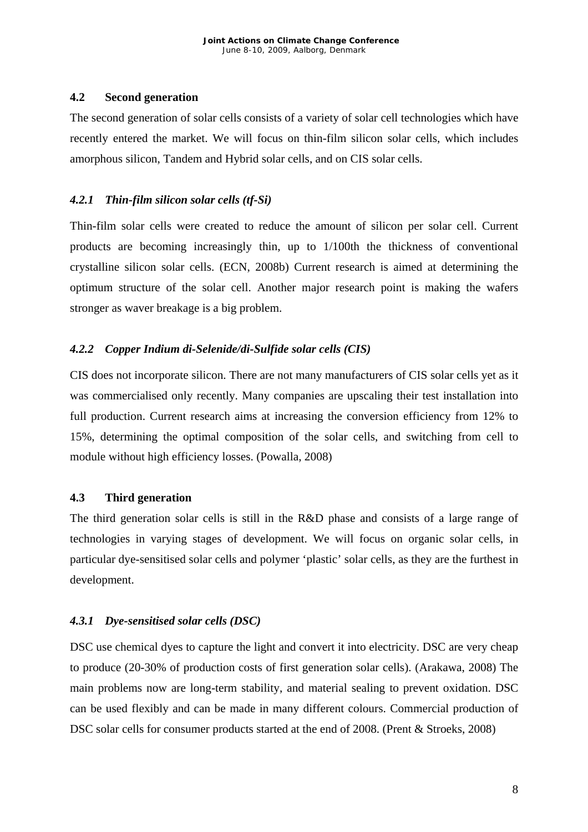## **4.2 Second generation**

The second generation of solar cells consists of a variety of solar cell technologies which have recently entered the market. We will focus on thin-film silicon solar cells, which includes amorphous silicon, Tandem and Hybrid solar cells, and on CIS solar cells.

## *4.2.1 Thin-film silicon solar cells (tf-Si)*

Thin-film solar cells were created to reduce the amount of silicon per solar cell. Current products are becoming increasingly thin, up to 1/100th the thickness of conventional crystalline silicon solar cells. (ECN, 2008b) Current research is aimed at determining the optimum structure of the solar cell. Another major research point is making the wafers stronger as waver breakage is a big problem.

## *4.2.2 Copper Indium di-Selenide/di-Sulfide solar cells (CIS)*

CIS does not incorporate silicon. There are not many manufacturers of CIS solar cells yet as it was commercialised only recently. Many companies are upscaling their test installation into full production. Current research aims at increasing the conversion efficiency from 12% to 15%, determining the optimal composition of the solar cells, and switching from cell to module without high efficiency losses. (Powalla, 2008)

### **4.3 Third generation**

The third generation solar cells is still in the R&D phase and consists of a large range of technologies in varying stages of development. We will focus on organic solar cells, in particular dye-sensitised solar cells and polymer 'plastic' solar cells, as they are the furthest in development.

### *4.3.1 Dye-sensitised solar cells (DSC)*

DSC use chemical dyes to capture the light and convert it into electricity. DSC are very cheap to produce (20-30% of production costs of first generation solar cells). (Arakawa, 2008) The main problems now are long-term stability, and material sealing to prevent oxidation. DSC can be used flexibly and can be made in many different colours. Commercial production of DSC solar cells for consumer products started at the end of 2008. (Prent & Stroeks, 2008)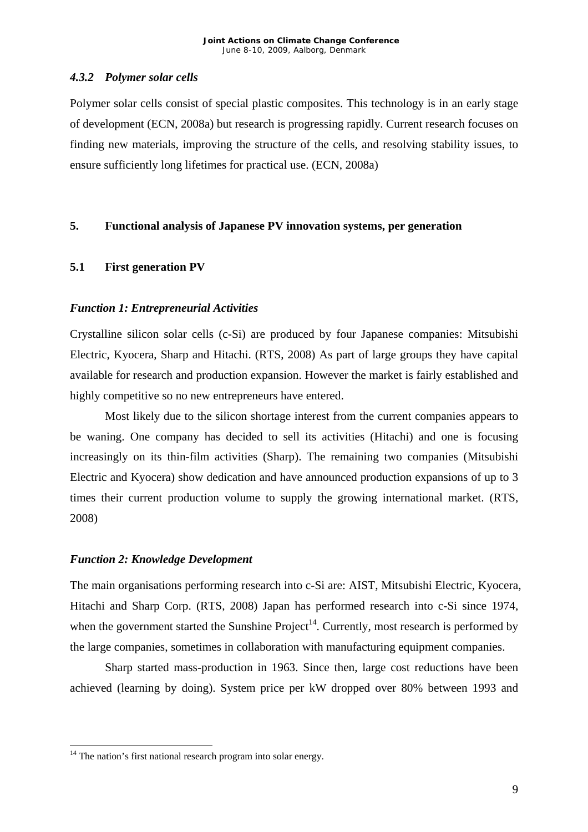## *4.3.2 Polymer solar cells*

Polymer solar cells consist of special plastic composites. This technology is in an early stage of development (ECN, 2008a) but research is progressing rapidly. Current research focuses on finding new materials, improving the structure of the cells, and resolving stability issues, to ensure sufficiently long lifetimes for practical use. (ECN, 2008a)

## **5. Functional analysis of Japanese PV innovation systems, per generation**

## **5.1 First generation PV**

## *Function 1: Entrepreneurial Activities*

Crystalline silicon solar cells (c-Si) are produced by four Japanese companies: Mitsubishi Electric, Kyocera, Sharp and Hitachi. (RTS, 2008) As part of large groups they have capital available for research and production expansion. However the market is fairly established and highly competitive so no new entrepreneurs have entered.

Most likely due to the silicon shortage interest from the current companies appears to be waning. One company has decided to sell its activities (Hitachi) and one is focusing increasingly on its thin-film activities (Sharp). The remaining two companies (Mitsubishi Electric and Kyocera) show dedication and have announced production expansions of up to 3 times their current production volume to supply the growing international market. (RTS, 2008)

### *Function 2: Knowledge Development*

1

The main organisations performing research into c-Si are: AIST, Mitsubishi Electric, Kyocera, Hitachi and Sharp Corp. (RTS, 2008) Japan has performed research into c-Si since 1974, when the government started the Sunshine  $Project<sup>14</sup>$ . Currently, most research is performed by the large companies, sometimes in collaboration with manufacturing equipment companies.

Sharp started mass-production in 1963. Since then, large cost reductions have been achieved (learning by doing). System price per kW dropped over 80% between 1993 and

<span id="page-8-0"></span> $14$  The nation's first national research program into solar energy.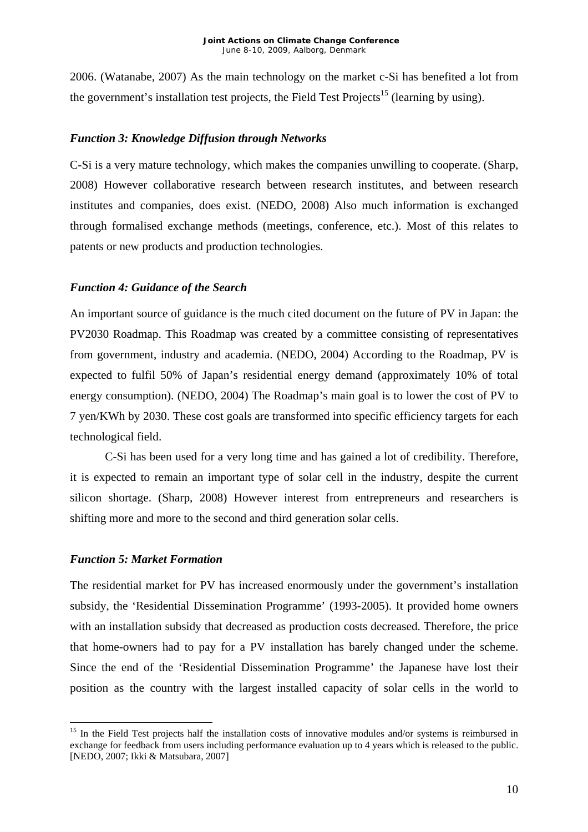2006. (Watanabe, 2007) As the main technology on the market c-Si has benefited a lot from the government's installation test projects, the Field Test Projects<sup>15</sup> (learning by using).

## *Function 3: Knowledge Diffusion through Networks*

C-Si is a very mature technology, which makes the companies unwilling to cooperate. (Sharp, 2008) However collaborative research between research institutes, and between research institutes and companies, does exist. (NEDO, 2008) Also much information is exchanged through formalised exchange methods (meetings, conference, etc.). Most of this relates to patents or new products and production technologies.

## *Function 4: Guidance of the Search*

An important source of guidance is the much cited document on the future of PV in Japan: the PV2030 Roadmap. This Roadmap was created by a committee consisting of representatives from government, industry and academia. (NEDO, 2004) According to the Roadmap, PV is expected to fulfil 50% of Japan's residential energy demand (approximately 10% of total energy consumption). (NEDO, 2004) The Roadmap's main goal is to lower the cost of PV to 7 yen/KWh by 2030. These cost goals are transformed into specific efficiency targets for each technological field.

C-Si has been used for a very long time and has gained a lot of credibility. Therefore, it is expected to remain an important type of solar cell in the industry, despite the current silicon shortage. (Sharp, 2008) However interest from entrepreneurs and researchers is shifting more and more to the second and third generation solar cells.

### *Function 5: Market Formation*

1

The residential market for PV has increased enormously under the government's installation subsidy, the 'Residential Dissemination Programme' (1993-2005). It provided home owners with an installation subsidy that decreased as production costs decreased. Therefore, the price that home-owners had to pay for a PV installation has barely changed under the scheme. Since the end of the 'Residential Dissemination Programme' the Japanese have lost their position as the country with the largest installed capacity of solar cells in the world to

<span id="page-9-0"></span><sup>&</sup>lt;sup>15</sup> In the Field Test projects half the installation costs of innovative modules and/or systems is reimbursed in exchange for feedback from users including performance evaluation up to 4 years which is released to the public. [NEDO, 2007; Ikki & Matsubara, 2007]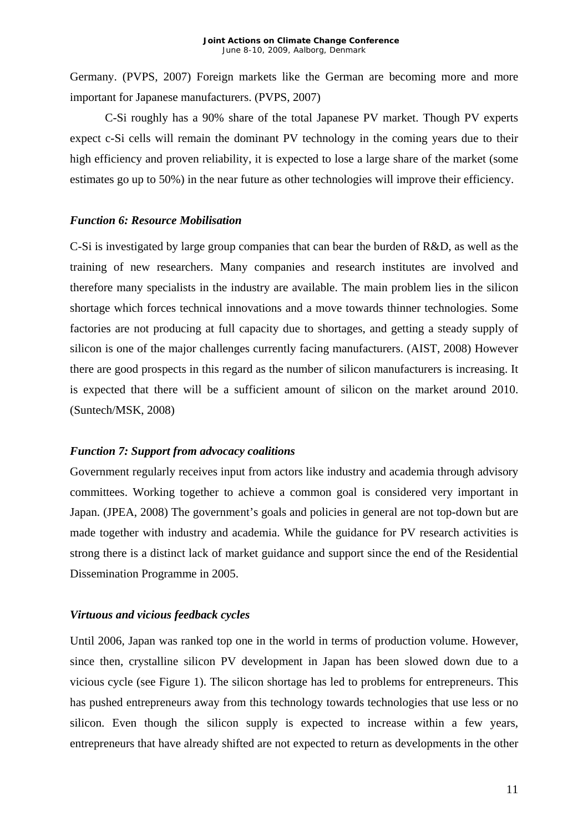Germany. (PVPS, 2007) Foreign markets like the German are becoming more and more important for Japanese manufacturers. (PVPS, 2007)

C-Si roughly has a 90% share of the total Japanese PV market. Though PV experts expect c-Si cells will remain the dominant PV technology in the coming years due to their high efficiency and proven reliability, it is expected to lose a large share of the market (some estimates go up to 50%) in the near future as other technologies will improve their efficiency.

### *Function 6: Resource Mobilisation*

C-Si is investigated by large group companies that can bear the burden of R&D, as well as the training of new researchers. Many companies and research institutes are involved and therefore many specialists in the industry are available. The main problem lies in the silicon shortage which forces technical innovations and a move towards thinner technologies. Some factories are not producing at full capacity due to shortages, and getting a steady supply of silicon is one of the major challenges currently facing manufacturers. (AIST, 2008) However there are good prospects in this regard as the number of silicon manufacturers is increasing. It is expected that there will be a sufficient amount of silicon on the market around 2010. (Suntech/MSK, 2008)

#### *Function 7: Support from advocacy coalitions*

Government regularly receives input from actors like industry and academia through advisory committees. Working together to achieve a common goal is considered very important in Japan. (JPEA, 2008) The government's goals and policies in general are not top-down but are made together with industry and academia. While the guidance for PV research activities is strong there is a distinct lack of market guidance and support since the end of the Residential Dissemination Programme in 2005.

### *Virtuous and vicious feedback cycles*

Until 2006, Japan was ranked top one in the world in terms of production volume. However, since then, crystalline silicon PV development in Japan has been slowed down due to a vicious cycle (see Figure 1). The silicon shortage has led to problems for entrepreneurs. This has pushed entrepreneurs away from this technology towards technologies that use less or no silicon. Even though the silicon supply is expected to increase within a few years, entrepreneurs that have already shifted are not expected to return as developments in the other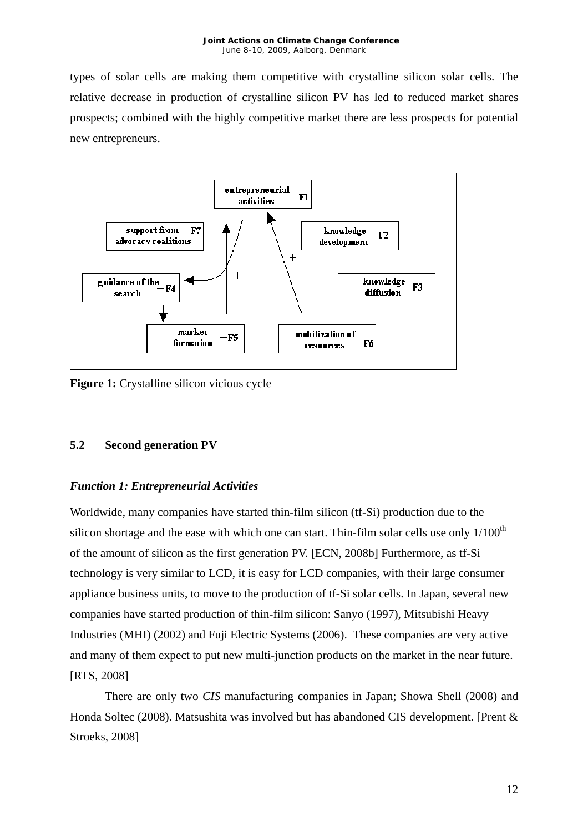types of solar cells are making them competitive with crystalline silicon solar cells. The relative decrease in production of crystalline silicon PV has led to reduced market shares prospects; combined with the highly competitive market there are less prospects for potential new entrepreneurs.



**Figure 1:** Crystalline silicon vicious cycle

## **5.2 Second generation PV**

## *Function 1: Entrepreneurial Activities*

Worldwide, many companies have started thin-film silicon (tf-Si) production due to the silicon shortage and the ease with which one can start. Thin-film solar cells use only  $1/100<sup>th</sup>$ of the amount of silicon as the first generation PV. [ECN, 2008b] Furthermore, as tf-Si technology is very similar to LCD, it is easy for LCD companies, with their large consumer appliance business units, to move to the production of tf-Si solar cells. In Japan, several new companies have started production of thin-film silicon: Sanyo (1997), Mitsubishi Heavy Industries (MHI) (2002) and Fuji Electric Systems (2006). These companies are very active and many of them expect to put new multi-junction products on the market in the near future. [RTS, 2008]

There are only two *CIS* manufacturing companies in Japan; Showa Shell (2008) and Honda Soltec (2008). Matsushita was involved but has abandoned CIS development. [Prent & Stroeks, 2008]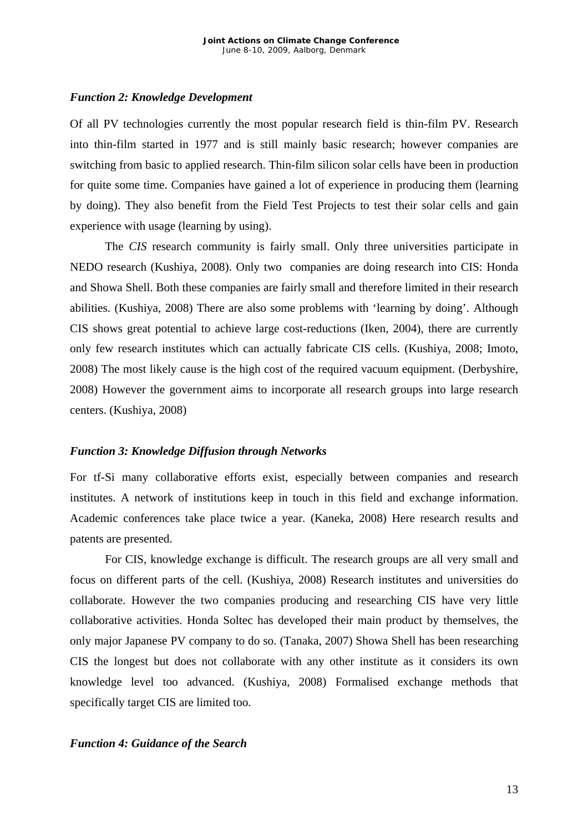#### *Function 2: Knowledge Development*

Of all PV technologies currently the most popular research field is thin-film PV. Research into thin-film started in 1977 and is still mainly basic research; however companies are switching from basic to applied research. Thin-film silicon solar cells have been in production for quite some time. Companies have gained a lot of experience in producing them (learning by doing). They also benefit from the Field Test Projects to test their solar cells and gain experience with usage (learning by using).

The *CIS* research community is fairly small. Only three universities participate in NEDO research (Kushiya, 2008). Only two companies are doing research into CIS: Honda and Showa Shell. Both these companies are fairly small and therefore limited in their research abilities. (Kushiya, 2008) There are also some problems with 'learning by doing'. Although CIS shows great potential to achieve large cost-reductions (Iken, 2004), there are currently only few research institutes which can actually fabricate CIS cells. (Kushiya, 2008; Imoto, 2008) The most likely cause is the high cost of the required vacuum equipment. (Derbyshire, 2008) However the government aims to incorporate all research groups into large research centers. (Kushiya, 2008)

#### *Function 3: Knowledge Diffusion through Networks*

For tf-Si many collaborative efforts exist, especially between companies and research institutes. A network of institutions keep in touch in this field and exchange information. Academic conferences take place twice a year. (Kaneka, 2008) Here research results and patents are presented.

For CIS, knowledge exchange is difficult. The research groups are all very small and focus on different parts of the cell. (Kushiya, 2008) Research institutes and universities do collaborate. However the two companies producing and researching CIS have very little collaborative activities. Honda Soltec has developed their main product by themselves, the only major Japanese PV company to do so. (Tanaka, 2007) Showa Shell has been researching CIS the longest but does not collaborate with any other institute as it considers its own knowledge level too advanced. (Kushiya, 2008) Formalised exchange methods that specifically target CIS are limited too.

#### *Function 4: Guidance of the Search*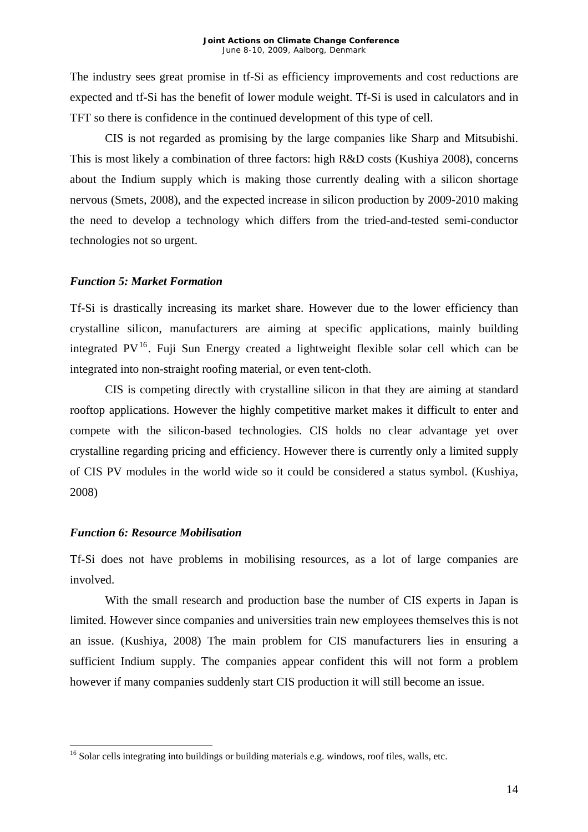The industry sees great promise in tf-Si as efficiency improvements and cost reductions are expected and tf-Si has the benefit of lower module weight. Tf-Si is used in calculators and in TFT so there is confidence in the continued development of this type of cell.

CIS is not regarded as promising by the large companies like Sharp and Mitsubishi. This is most likely a combination of three factors: high R&D costs (Kushiya 2008), concerns about the Indium supply which is making those currently dealing with a silicon shortage nervous (Smets, 2008), and the expected increase in silicon production by 2009-2010 making the need to develop a technology which differs from the tried-and-tested semi-conductor technologies not so urgent.

#### *Function 5: Market Formation*

Tf-Si is drastically increasing its market share. However due to the lower efficiency than crystalline silicon, manufacturers are aiming at specific applications, mainly building integrated  $PV^{16}$  $PV^{16}$  $PV^{16}$ . Fuji Sun Energy created a lightweight flexible solar cell which can be integrated into non-straight roofing material, or even tent-cloth.

CIS is competing directly with crystalline silicon in that they are aiming at standard rooftop applications. However the highly competitive market makes it difficult to enter and compete with the silicon-based technologies. CIS holds no clear advantage yet over crystalline regarding pricing and efficiency. However there is currently only a limited supply of CIS PV modules in the world wide so it could be considered a status symbol. (Kushiya, 2008)

### *Function 6: Resource Mobilisation*

1

Tf-Si does not have problems in mobilising resources, as a lot of large companies are involved.

With the small research and production base the number of CIS experts in Japan is limited. However since companies and universities train new employees themselves this is not an issue. (Kushiya, 2008) The main problem for CIS manufacturers lies in ensuring a sufficient Indium supply. The companies appear confident this will not form a problem however if many companies suddenly start CIS production it will still become an issue.

<span id="page-13-0"></span><sup>&</sup>lt;sup>16</sup> Solar cells integrating into buildings or building materials e.g. windows, roof tiles, walls, etc.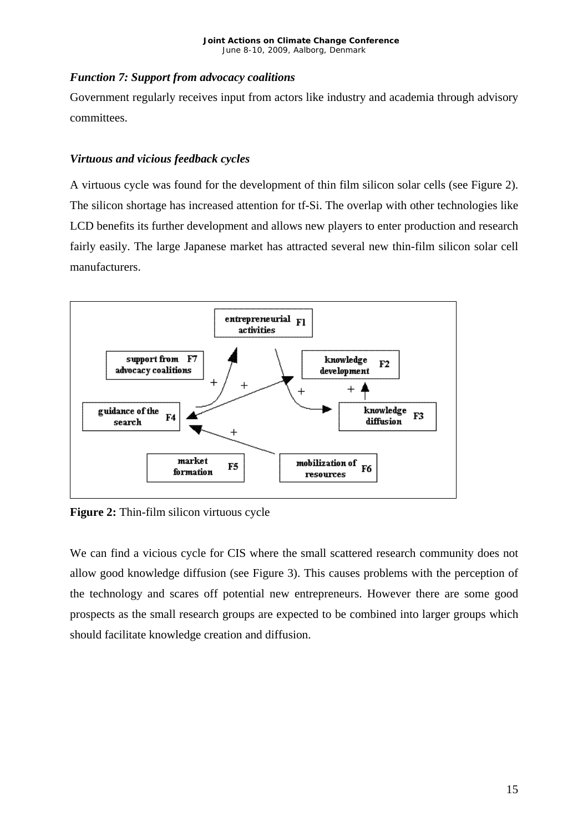## *Function 7: Support from advocacy coalitions*

Government regularly receives input from actors like industry and academia through advisory committees.

## *Virtuous and vicious feedback cycles*

A virtuous cycle was found for the development of thin film silicon solar cells (see Figure 2). The silicon shortage has increased attention for tf-Si. The overlap with other technologies like LCD benefits its further development and allows new players to enter production and research fairly easily. The large Japanese market has attracted several new thin-film silicon solar cell manufacturers.



**Figure 2:** Thin-film silicon virtuous cycle

We can find a vicious cycle for CIS where the small scattered research community does not allow good knowledge diffusion (see Figure 3). This causes problems with the perception of the technology and scares off potential new entrepreneurs. However there are some good prospects as the small research groups are expected to be combined into larger groups which should facilitate knowledge creation and diffusion.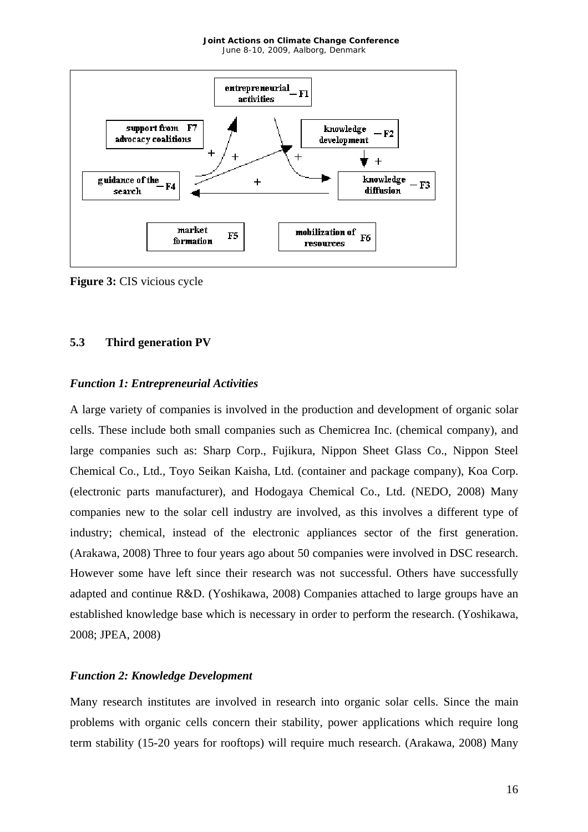

**Figure 3:** CIS vicious cycle

## **5.3 Third generation PV**

## *Function 1: Entrepreneurial Activities*

A large variety of companies is involved in the production and development of organic solar cells. These include both small companies such as Chemicrea Inc. (chemical company), and large companies such as: Sharp Corp., Fujikura, Nippon Sheet Glass Co., Nippon Steel Chemical Co., Ltd., Toyo Seikan Kaisha, Ltd. (container and package company), Koa Corp. (electronic parts manufacturer), and Hodogaya Chemical Co., Ltd. (NEDO, 2008) Many companies new to the solar cell industry are involved, as this involves a different type of industry; chemical, instead of the electronic appliances sector of the first generation. (Arakawa, 2008) Three to four years ago about 50 companies were involved in DSC research. However some have left since their research was not successful. Others have successfully adapted and continue R&D. (Yoshikawa, 2008) Companies attached to large groups have an established knowledge base which is necessary in order to perform the research. (Yoshikawa, 2008; JPEA, 2008)

## *Function 2: Knowledge Development*

Many research institutes are involved in research into organic solar cells. Since the main problems with organic cells concern their stability, power applications which require long term stability (15-20 years for rooftops) will require much research. (Arakawa, 2008) Many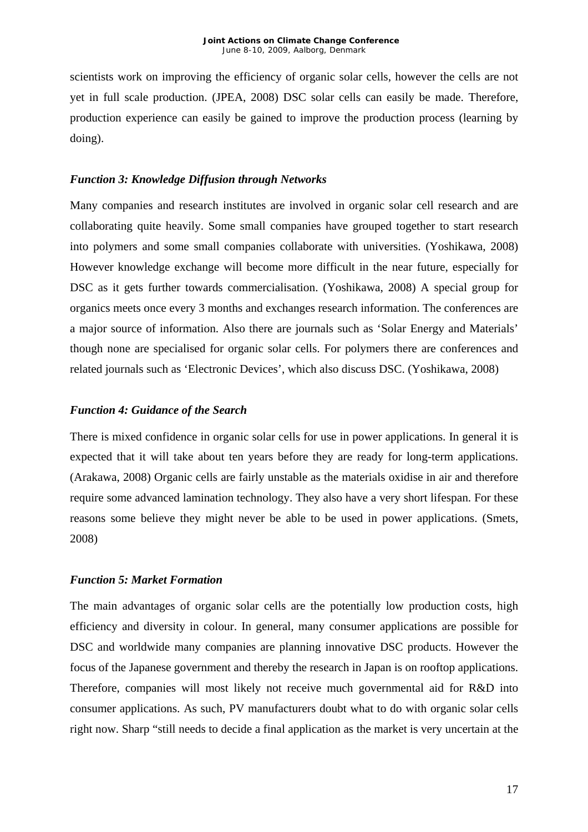scientists work on improving the efficiency of organic solar cells, however the cells are not yet in full scale production. (JPEA, 2008) DSC solar cells can easily be made. Therefore, production experience can easily be gained to improve the production process (learning by doing).

## *Function 3: Knowledge Diffusion through Networks*

Many companies and research institutes are involved in organic solar cell research and are collaborating quite heavily. Some small companies have grouped together to start research into polymers and some small companies collaborate with universities. (Yoshikawa, 2008) However knowledge exchange will become more difficult in the near future, especially for DSC as it gets further towards commercialisation. (Yoshikawa, 2008) A special group for organics meets once every 3 months and exchanges research information. The conferences are a major source of information. Also there are journals such as 'Solar Energy and Materials' though none are specialised for organic solar cells. For polymers there are conferences and related journals such as 'Electronic Devices', which also discuss DSC. (Yoshikawa, 2008)

## *Function 4: Guidance of the Search*

There is mixed confidence in organic solar cells for use in power applications. In general it is expected that it will take about ten years before they are ready for long-term applications. (Arakawa, 2008) Organic cells are fairly unstable as the materials oxidise in air and therefore require some advanced lamination technology. They also have a very short lifespan. For these reasons some believe they might never be able to be used in power applications. (Smets, 2008)

## *Function 5: Market Formation*

The main advantages of organic solar cells are the potentially low production costs, high efficiency and diversity in colour. In general, many consumer applications are possible for DSC and worldwide many companies are planning innovative DSC products. However the focus of the Japanese government and thereby the research in Japan is on rooftop applications. Therefore, companies will most likely not receive much governmental aid for R&D into consumer applications. As such, PV manufacturers doubt what to do with organic solar cells right now. Sharp "still needs to decide a final application as the market is very uncertain at the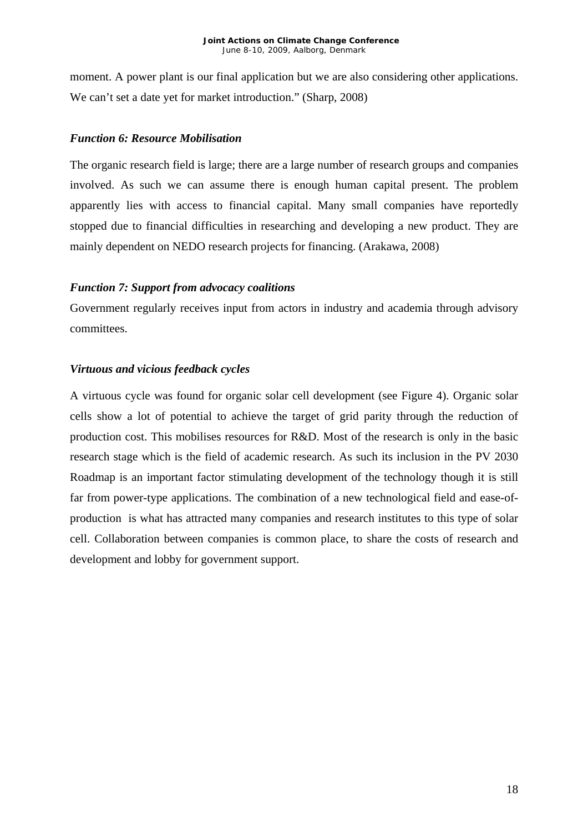moment. A power plant is our final application but we are also considering other applications. We can't set a date yet for market introduction." (Sharp, 2008)

## *Function 6: Resource Mobilisation*

The organic research field is large; there are a large number of research groups and companies involved. As such we can assume there is enough human capital present. The problem apparently lies with access to financial capital. Many small companies have reportedly stopped due to financial difficulties in researching and developing a new product. They are mainly dependent on NEDO research projects for financing. (Arakawa, 2008)

## *Function 7: Support from advocacy coalitions*

Government regularly receives input from actors in industry and academia through advisory committees.

## *Virtuous and vicious feedback cycles*

A virtuous cycle was found for organic solar cell development (see Figure 4). Organic solar cells show a lot of potential to achieve the target of grid parity through the reduction of production cost. This mobilises resources for R&D. Most of the research is only in the basic research stage which is the field of academic research. As such its inclusion in the PV 2030 Roadmap is an important factor stimulating development of the technology though it is still far from power-type applications. The combination of a new technological field and ease-ofproduction is what has attracted many companies and research institutes to this type of solar cell. Collaboration between companies is common place, to share the costs of research and development and lobby for government support.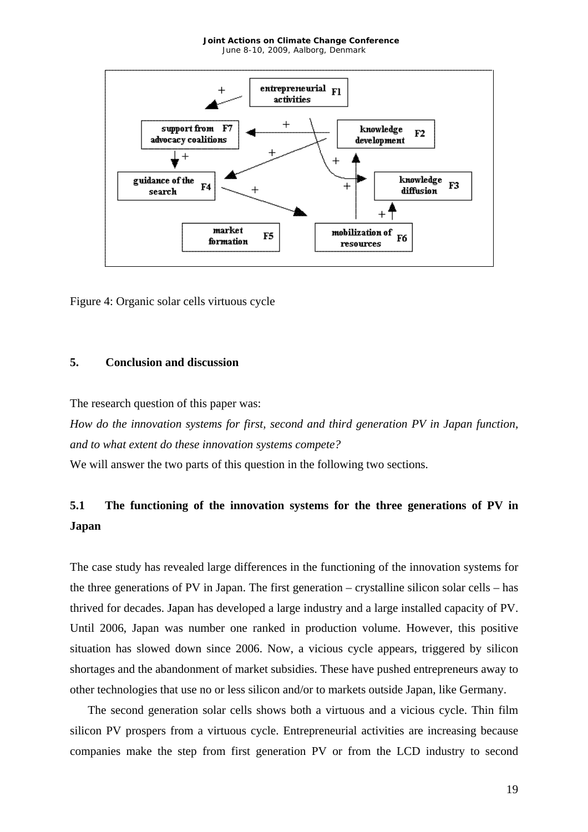

Figure 4: Organic solar cells virtuous cycle

## **5. Conclusion and discussion**

The research question of this paper was:

*How do the innovation systems for first, second and third generation PV in Japan function, and to what extent do these innovation systems compete?* 

We will answer the two parts of this question in the following two sections.

# **5.1 The functioning of the innovation systems for the three generations of PV in Japan**

The case study has revealed large differences in the functioning of the innovation systems for the three generations of PV in Japan. The first generation – crystalline silicon solar cells – has thrived for decades. Japan has developed a large industry and a large installed capacity of PV. Until 2006, Japan was number one ranked in production volume. However, this positive situation has slowed down since 2006. Now, a vicious cycle appears, triggered by silicon shortages and the abandonment of market subsidies. These have pushed entrepreneurs away to other technologies that use no or less silicon and/or to markets outside Japan, like Germany.

The second generation solar cells shows both a virtuous and a vicious cycle. Thin film silicon PV prospers from a virtuous cycle. Entrepreneurial activities are increasing because companies make the step from first generation PV or from the LCD industry to second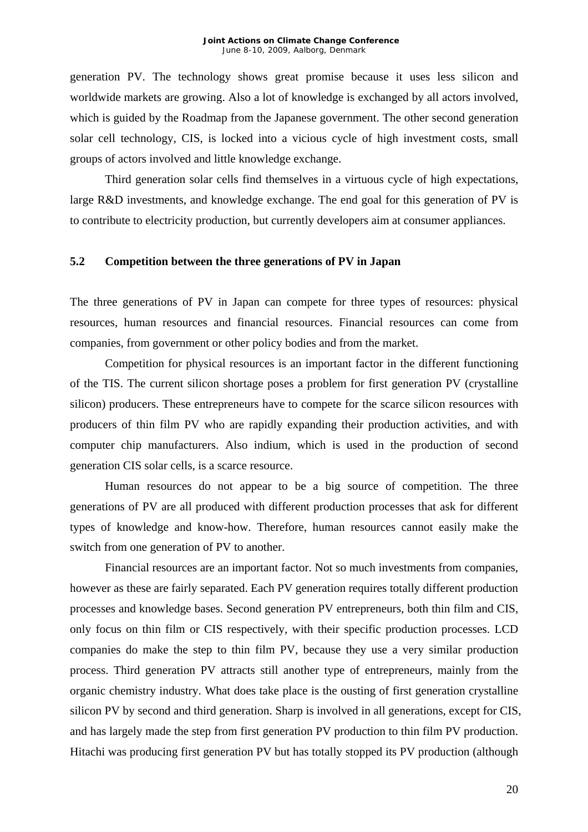generation PV. The technology shows great promise because it uses less silicon and worldwide markets are growing. Also a lot of knowledge is exchanged by all actors involved, which is guided by the Roadmap from the Japanese government. The other second generation solar cell technology, CIS, is locked into a vicious cycle of high investment costs, small groups of actors involved and little knowledge exchange.

Third generation solar cells find themselves in a virtuous cycle of high expectations, large R&D investments, and knowledge exchange. The end goal for this generation of PV is to contribute to electricity production, but currently developers aim at consumer appliances.

#### **5.2 Competition between the three generations of PV in Japan**

The three generations of PV in Japan can compete for three types of resources: physical resources, human resources and financial resources. Financial resources can come from companies, from government or other policy bodies and from the market.

Competition for physical resources is an important factor in the different functioning of the TIS. The current silicon shortage poses a problem for first generation PV (crystalline silicon) producers. These entrepreneurs have to compete for the scarce silicon resources with producers of thin film PV who are rapidly expanding their production activities, and with computer chip manufacturers. Also indium, which is used in the production of second generation CIS solar cells, is a scarce resource.

Human resources do not appear to be a big source of competition. The three generations of PV are all produced with different production processes that ask for different types of knowledge and know-how. Therefore, human resources cannot easily make the switch from one generation of PV to another.

Financial resources are an important factor. Not so much investments from companies, however as these are fairly separated. Each PV generation requires totally different production processes and knowledge bases. Second generation PV entrepreneurs, both thin film and CIS, only focus on thin film or CIS respectively, with their specific production processes. LCD companies do make the step to thin film PV, because they use a very similar production process. Third generation PV attracts still another type of entrepreneurs, mainly from the organic chemistry industry. What does take place is the ousting of first generation crystalline silicon PV by second and third generation. Sharp is involved in all generations, except for CIS, and has largely made the step from first generation PV production to thin film PV production. Hitachi was producing first generation PV but has totally stopped its PV production (although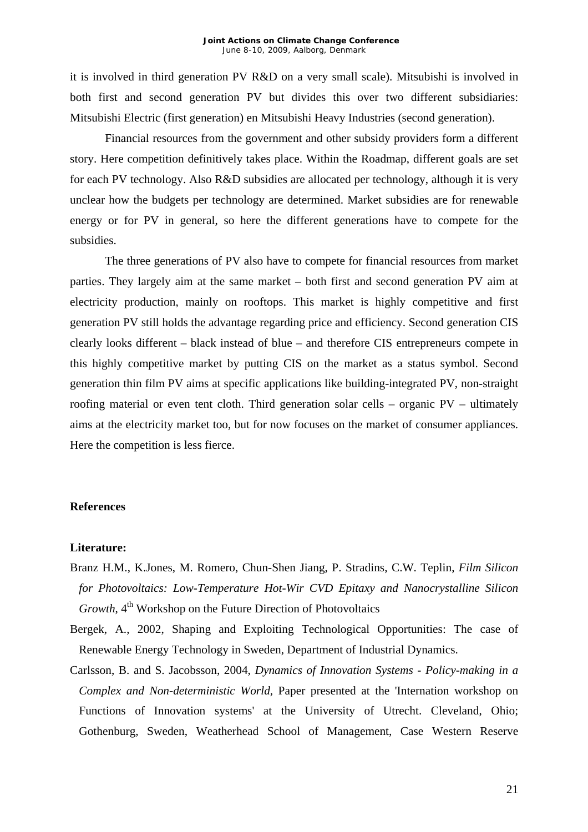it is involved in third generation PV R&D on a very small scale). Mitsubishi is involved in both first and second generation PV but divides this over two different subsidiaries: Mitsubishi Electric (first generation) en Mitsubishi Heavy Industries (second generation).

Financial resources from the government and other subsidy providers form a different story. Here competition definitively takes place. Within the Roadmap, different goals are set for each PV technology. Also R&D subsidies are allocated per technology, although it is very unclear how the budgets per technology are determined. Market subsidies are for renewable energy or for PV in general, so here the different generations have to compete for the subsidies.

The three generations of PV also have to compete for financial resources from market parties. They largely aim at the same market – both first and second generation PV aim at electricity production, mainly on rooftops. This market is highly competitive and first generation PV still holds the advantage regarding price and efficiency. Second generation CIS clearly looks different – black instead of blue – and therefore CIS entrepreneurs compete in this highly competitive market by putting CIS on the market as a status symbol. Second generation thin film PV aims at specific applications like building-integrated PV, non-straight roofing material or even tent cloth. Third generation solar cells – organic PV – ultimately aims at the electricity market too, but for now focuses on the market of consumer appliances. Here the competition is less fierce.

#### **References**

#### **Literature:**

- Branz H.M., K.Jones, M. Romero, Chun-Shen Jiang, P. Stradins, C.W. Teplin, *Film Silicon for Photovoltaics: Low-Temperature Hot-Wir CVD Epitaxy and Nanocrystalline Silicon Growth*, 4<sup>th</sup> Workshop on the Future Direction of Photovoltaics
- Bergek, A., 2002, Shaping and Exploiting Technological Opportunities: The case of Renewable Energy Technology in Sweden, Department of Industrial Dynamics.
- Carlsson, B. and S. Jacobsson, 2004, *Dynamics of Innovation Systems Policy-making in a Complex and Non-deterministic World,* Paper presented at the 'Internation workshop on Functions of Innovation systems' at the University of Utrecht. Cleveland, Ohio; Gothenburg, Sweden, Weatherhead School of Management, Case Western Reserve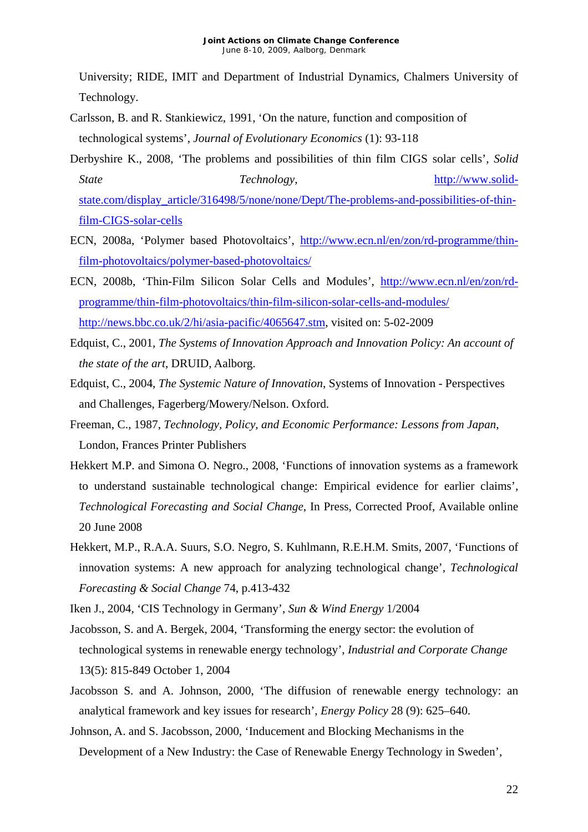University; RIDE, IMIT and Department of Industrial Dynamics, Chalmers University of Technology.

- Carlsson, B. and R. Stankiewicz, 1991, 'On the nature, function and composition of technological systems', *Journal of Evolutionary Economics* (1): 93-118
- Derbyshire K., 2008, 'The problems and possibilities of thin film CIGS solar cells', *Solid*  **State** Technology, [http://www.solid](http://www.solid-state.com/display_article/316498/5/none/none/Dept/The-problems-and-possibilities-of-thin-film-CIGS-solar-cells)[state.com/display\\_article/316498/5/none/none/Dept/The-problems-and-possibilities-of-thin](http://www.solid-state.com/display_article/316498/5/none/none/Dept/The-problems-and-possibilities-of-thin-film-CIGS-solar-cells)[film-CIGS-solar-cells](http://www.solid-state.com/display_article/316498/5/none/none/Dept/The-problems-and-possibilities-of-thin-film-CIGS-solar-cells)
- ECN, 2008a, 'Polymer based Photovoltaics', [http://www.ecn.nl/en/zon/rd-programme/thin](http://www.ecn.nl/en/zon/rd-programme/thin-film-photovoltaics/polymer-based-photovoltaics/)[film-photovoltaics/polymer-based-photovoltaics/](http://www.ecn.nl/en/zon/rd-programme/thin-film-photovoltaics/polymer-based-photovoltaics/)
- ECN, 2008b, 'Thin-Film Silicon Solar Cells and Modules', [http://www.ecn.nl/en/zon/rd](http://www.ecn.nl/en/zon/rd-programme/thin-film-photovoltaics/thin-film-silicon-solar-cells-and-modules/)[programme/thin-film-photovoltaics/thin-film-silicon-solar-cells-and-modules/](http://www.ecn.nl/en/zon/rd-programme/thin-film-photovoltaics/thin-film-silicon-solar-cells-and-modules/)  <http://news.bbc.co.uk/2/hi/asia-pacific/4065647.stm>, visited on: 5-02-2009
- Edquist, C., 2001, *The Systems of Innovation Approach and Innovation Policy: An account of the state of the art*, DRUID, Aalborg.
- Edquist, C., 2004, *The Systemic Nature of Innovation*, Systems of Innovation Perspectives and Challenges, Fagerberg/Mowery/Nelson. Oxford.
- Freeman, C., 1987, *Technology, Policy, and Economic Performance: Lessons from Japan*, London, Frances Printer Publishers
- Hekkert M.P. and Simona O. Negro., 2008, 'Functions of innovation systems as a framework to understand sustainable technological change: Empirical evidence for earlier claims', *Technological Forecasting and Social Change*, In Press, Corrected Proof, Available online 20 June 2008
- Hekkert, M.P., R.A.A. Suurs, S.O. Negro, S. Kuhlmann, R.E.H.M. Smits, 2007, 'Functions of innovation systems: A new approach for analyzing technological change', *Technological Forecasting & Social Change* 74, p.413-432
- Iken J., 2004, 'CIS Technology in Germany', *Sun & Wind Energy* 1/2004
- Jacobsson, S. and A. Bergek, 2004, 'Transforming the energy sector: the evolution of technological systems in renewable energy technology', *Industrial and Corporate Change* 13(5): 815-849 October 1, 2004
- Jacobsson S. and A. Johnson, 2000, 'The diffusion of renewable energy technology: an analytical framework and key issues for research', *Energy Policy* 28 (9): 625–640.
- Johnson, A. and S. Jacobsson, 2000, 'Inducement and Blocking Mechanisms in the Development of a New Industry: the Case of Renewable Energy Technology in Sweden',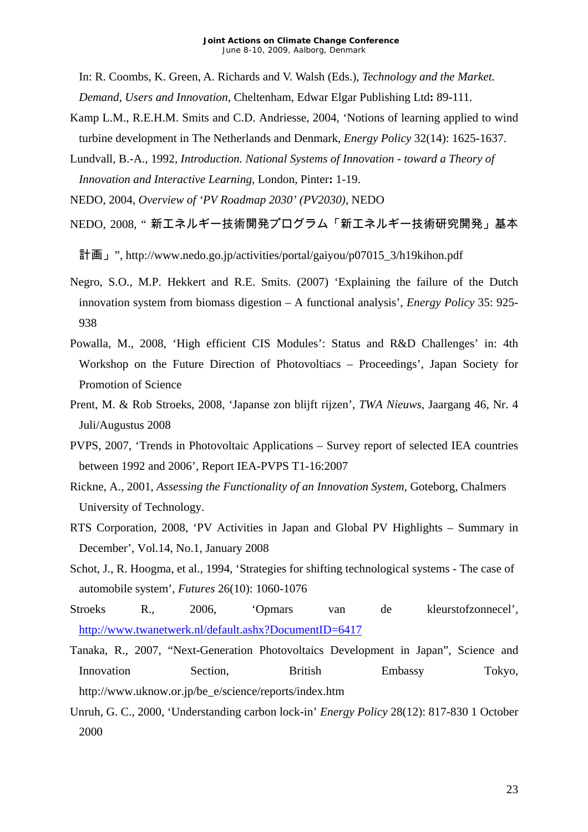In: R. Coombs, K. Green, A. Richards and V. Walsh (Eds.), *Technology and the Market.* 

*Demand, Users and Innovation*, Cheltenham, Edwar Elgar Publishing Ltd**:** 89-111.

- Kamp L.M., R.E.H.M. Smits and C.D. Andriesse, 2004, 'Notions of learning applied to wind turbine development in The Netherlands and Denmark, *Energy Policy* 32(14): 1625-1637.
- Lundvall, B.-A., 1992, *Introduction. National Systems of Innovation toward a Theory of Innovation and Interactive Learning*, London, Pinter**:** 1-19.

NEDO, 2004, *Overview of 'PV Roadmap 2030' (PV2030)*, NEDO

NEDO, 2008, " 新エネルギー技術開発プログラム「新エネルギー技術研究開発」基本

計画」", http://www.nedo.go.jp/activities/portal/gaiyou/p07015\_3/h19kihon.pdf

- Negro, S.O., M.P. Hekkert and R.E. Smits. (2007) 'Explaining the failure of the Dutch innovation system from biomass digestion – A functional analysis', *Energy Policy* 35: 925- 938
- Powalla, M., 2008, 'High efficient CIS Modules': Status and R&D Challenges' in: 4th Workshop on the Future Direction of Photovoltiacs – Proceedings', Japan Society for Promotion of Science
- Prent, M. & Rob Stroeks, 2008, 'Japanse zon blijft rijzen', *TWA Nieuws*, Jaargang 46, Nr. 4 Juli/Augustus 2008
- PVPS, 2007, 'Trends in Photovoltaic Applications Survey report of selected IEA countries between 1992 and 2006', Report IEA-PVPS T1-16:2007
- Rickne, A., 2001, *Assessing the Functionality of an Innovation System,* Goteborg, Chalmers University of Technology.
- RTS Corporation, 2008, 'PV Activities in Japan and Global PV Highlights Summary in December', Vol.14, No.1, January 2008
- Schot, J., R. Hoogma, et al., 1994, 'Strategies for shifting technological systems The case of automobile system', *Futures* 26(10): 1060-1076
- Stroeks R., 2006, 'Opmars van de kleurstofzonnecel', <http://www.twanetwerk.nl/default.ashx?DocumentID=6417>
- Tanaka, R., 2007, "Next-Generation Photovoltaics Development in Japan", Science and Innovation Section, British Embassy Tokyo, http://www.uknow.or.jp/be\_e/science/reports/index.htm
- Unruh, G. C., 2000, 'Understanding carbon lock-in' *Energy Policy* 28(12): 817-830 1 October 2000